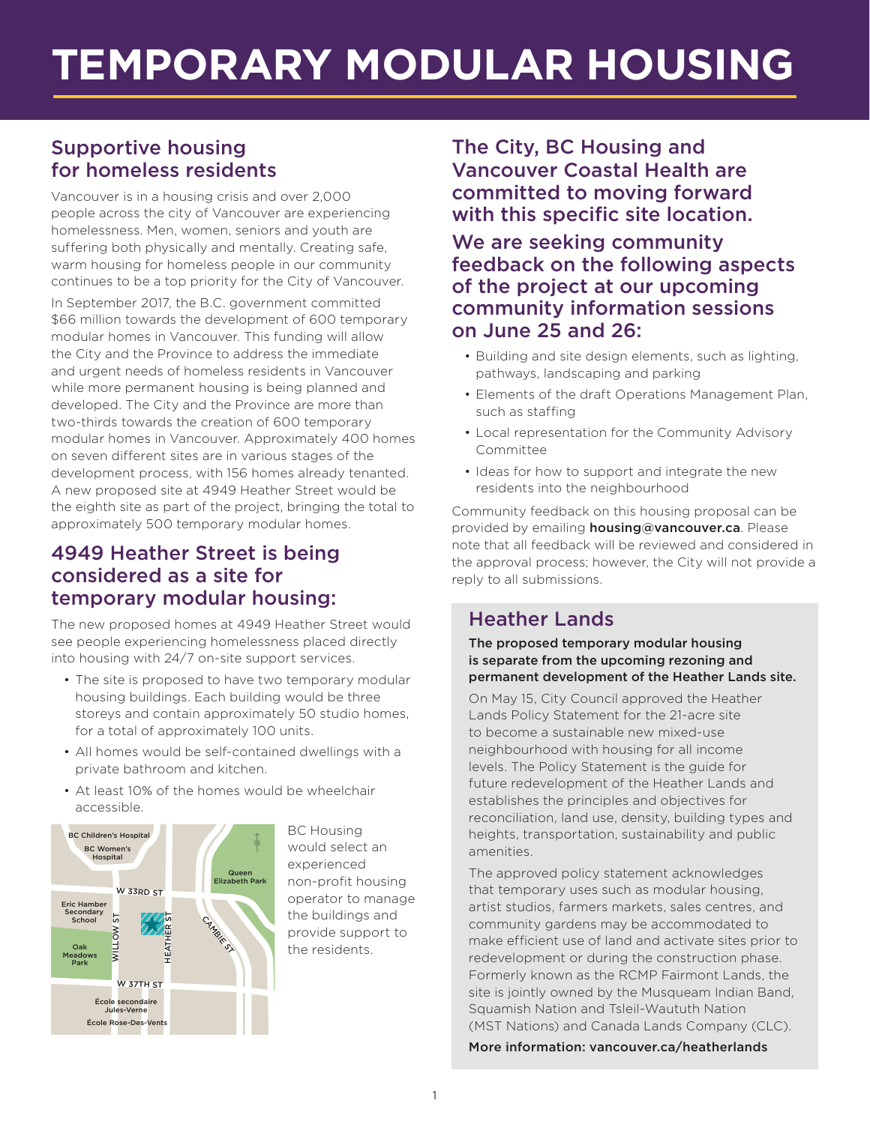# **TEMPORARY MODULAR HOUSING**

# Supportive housing for homeless residents

Vancouver is in a housing crisis and over 2,000 people across the city of Vancouver are experiencing homelessness. Men, women, seniors and youth are suffering both physically and mentally. Creating safe, warm housing for homeless people in our community continues to be a top priority for the City of Vancouver.

In September 2017, the B.C. government committed \$66 million towards the development of 600 temporary modular homes in Vancouver. This funding will allow the City and the Province to address the immediate and urgent needs of homeless residents in Vancouver while more permanent housing is being planned and developed. The City and the Province are more than two-thirds towards the creation of 600 temporary modular homes in Vancouver. Approximately 400 homes on seven different sites are in various stages of the development process, with 156 homes already tenanted. A new proposed site at 4949 Heather Street would be the eighth site as part of the project, bringing the total to approximately 500 temporary modular homes.

#### 4949 Heather Street is being considered as a site for temporary modular housing:

The new proposed homes at 4949 Heather Street would see people experiencing homelessness placed directly into housing with 24/7 on-site support services.

- The site is proposed to have two temporary modular housing buildings. Each building would be three storeys and contain approximately 50 studio homes, for a total of approximately 100 units.
- All homes would be self-contained dwellings with a private bathroom and kitchen.
- At least 10% of the homes would be wheelchair accessible.



BC Housing would select an experienced non-profit housing operator to manage the buildings and provide support to the residents.

The City, BC Housing and Vancouver Coastal Health are committed to moving forward with this specific site location.

We are seeking community feedback on the following aspects of the project at our upcoming community information sessions on June 25 and 26:

- Building and site design elements, such as lighting, pathways, landscaping and parking
- Elements of the draft Operations Management Plan, such as staffing
- Local representation for the Community Advisory Committee
- Ideas for how to support and integrate the new residents into the neighbourhood

Community feedback on this housing proposal can be provided by emailing **housing@vancouver.ca**. Please note that all feedback will be reviewed and considered in the approval process; however, the City will not provide a reply to all submissions.

## Heather Lands

The proposed temporary modular housing is separate from the upcoming rezoning and permanent development of the Heather Lands site.

On May 15, City Council approved the Heather Lands Policy Statement for the 21-acre site to become a sustainable new mixed-use neighbourhood with housing for all income levels. The Policy Statement is the guide for future redevelopment of the Heather Lands and establishes the principles and objectives for reconciliation, land use, density, building types and heights, transportation, sustainability and public amenities.

The approved policy statement acknowledges that temporary uses such as modular housing, artist studios, farmers markets, sales centres, and community gardens may be accommodated to make efficient use of land and activate sites prior to redevelopment or during the construction phase. Formerly known as the RCMP Fairmont Lands, the site is jointly owned by the Musqueam Indian Band, Squamish Nation and Tsleil-Waututh Nation (MST Nations) and Canada Lands Company (CLC).

More information: vancouver.ca/heatherlands